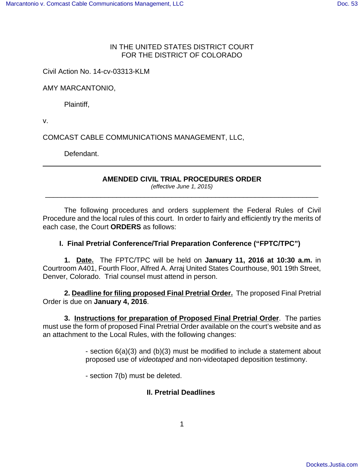### IN THE UNITED STATES DISTRICT COURT FOR THE DISTRICT OF COLORADO

Civil Action No. 14-cv-03313-KLM

AMY MARCANTONIO,

Plaintiff,

v.

COMCAST CABLE COMMUNICATIONS MANAGEMENT, LLC,

Defendant.

## **AMENDED CIVIL TRIAL PROCEDURES ORDER**

(effective June 1, 2015) \_\_\_\_\_\_\_\_\_\_\_\_\_\_\_\_\_\_\_\_\_\_\_\_\_\_\_\_\_\_\_\_\_\_\_\_\_\_\_\_\_\_\_\_\_\_\_\_\_\_\_\_\_\_\_\_\_\_\_\_\_\_\_\_\_\_\_\_\_

The following procedures and orders supplement the Federal Rules of Civil Procedure and the local rules of this court. In order to fairly and efficiently try the merits of each case, the Court **ORDERS** as follows:

# **I. Final Pretrial Conference/Trial Preparation Conference ("FPTC/TPC")**

**1. Date.** The FPTC/TPC will be held on **January 11, 2016 at 10:30 a.m.** in Courtroom A401, Fourth Floor, Alfred A. Arraj United States Courthouse, 901 19th Street, Denver, Colorado. Trial counsel must attend in person.

**2. Deadline for filing proposed Final Pretrial Order.** The proposed Final Pretrial Order is due on **January 4, 2016**.

**3. Instructions for preparation of Proposed Final Pretrial Order**. The parties must use the form of proposed Final Pretrial Order available on the court's website and as an attachment to the Local Rules, with the following changes:

> - section 6(a)(3) and (b)(3) must be modified to include a statement about proposed use of videotaped and non-videotaped deposition testimony.

- section 7(b) must be deleted.

#### **II. Pretrial Deadlines**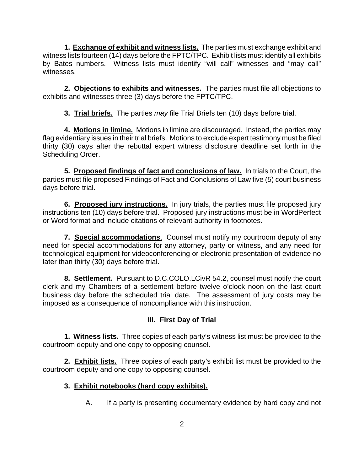**1. Exchange of exhibit and witness lists.** The parties must exchange exhibit and witness lists fourteen (14) days before the FPTC/TPC. Exhibit lists must identify all exhibits by Bates numbers. Witness lists must identify "will call" witnesses and "may call" witnesses.

**2. Objections to exhibits and witnesses.** The parties must file all objections to exhibits and witnesses three (3) days before the FPTC/TPC.

**3. Trial briefs.** The parties may file Trial Briefs ten (10) days before trial.

**4. Motions in limine.** Motions in limine are discouraged. Instead, the parties may flag evidentiary issues in their trial briefs. Motions to exclude expert testimony must be filed thirty (30) days after the rebuttal expert witness disclosure deadline set forth in the Scheduling Order.

**5. Proposed findings of fact and conclusions of law.** In trials to the Court, the parties must file proposed Findings of Fact and Conclusions of Law five (5) court business days before trial.

**6. Proposed jury instructions.** In jury trials, the parties must file proposed jury instructions ten (10) days before trial. Proposed jury instructions must be in WordPerfect or Word format and include citations of relevant authority in footnotes.

**7. Special accommodations**. Counsel must notify my courtroom deputy of any need for special accommodations for any attorney, party or witness, and any need for technological equipment for videoconferencing or electronic presentation of evidence no later than thirty (30) days before trial.

**8. Settlement.** Pursuant to D.C.COLO.LCivR 54.2, counsel must notify the court clerk and my Chambers of a settlement before twelve o'clock noon on the last court business day before the scheduled trial date. The assessment of jury costs may be imposed as a consequence of noncompliance with this instruction.

# **III. First Day of Trial**

**1. Witness lists.** Three copies of each party's witness list must be provided to the courtroom deputy and one copy to opposing counsel.

**2. Exhibit lists.** Three copies of each party's exhibit list must be provided to the courtroom deputy and one copy to opposing counsel.

# **3. Exhibit notebooks (hard copy exhibits).**

A. If a party is presenting documentary evidence by hard copy and not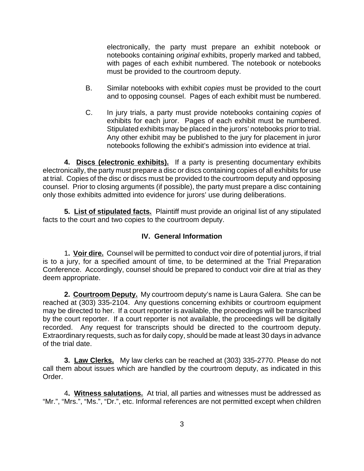electronically, the party must prepare an exhibit notebook or notebooks containing original exhibits, properly marked and tabbed, with pages of each exhibit numbered. The notebook or notebooks must be provided to the courtroom deputy.

- B. Similar notebooks with exhibit copies must be provided to the court and to opposing counsel. Pages of each exhibit must be numbered.
- C. In jury trials, a party must provide notebooks containing copies of exhibits for each juror. Pages of each exhibit must be numbered. Stipulated exhibits may be placed in the jurors' notebooks prior to trial. Any other exhibit may be published to the jury for placement in juror notebooks following the exhibit's admission into evidence at trial.

**4. Discs (electronic exhibits).** If a party is presenting documentary exhibits electronically, the party must prepare a disc or discs containing copies of all exhibits for use at trial. Copies of the disc or discs must be provided to the courtroom deputy and opposing counsel. Prior to closing arguments (if possible), the party must prepare a disc containing only those exhibits admitted into evidence for jurors' use during deliberations.

**5. List of stipulated facts.** Plaintiff must provide an original list of any stipulated facts to the court and two copies to the courtroom deputy.

# **IV. General Information**

1**. Voir dire.** Counsel will be permitted to conduct voir dire of potential jurors, if trial is to a jury, for a specified amount of time, to be determined at the Trial Preparation Conference. Accordingly, counsel should be prepared to conduct voir dire at trial as they deem appropriate.

**2. Courtroom Deputy.** My courtroom deputy's name is Laura Galera. She can be reached at (303) 335-2104. Any questions concerning exhibits or courtroom equipment may be directed to her. If a court reporter is available, the proceedings will be transcribed by the court reporter. If a court reporter is not available, the proceedings will be digitally recorded. Any request for transcripts should be directed to the courtroom deputy. Extraordinary requests, such as for daily copy, should be made at least 30 days in advance of the trial date.

**3. Law Clerks.** My law clerks can be reached at (303) 335-2770. Please do not call them about issues which are handled by the courtroom deputy, as indicated in this Order.

4**. Witness salutations.** At trial, all parties and witnesses must be addressed as "Mr.", "Mrs.", "Ms.", "Dr.", etc. Informal references are not permitted except when children